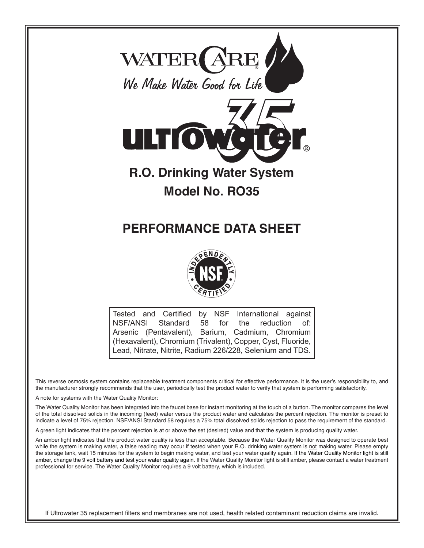



Tested and Certified by NSF International against NSF/ANSI Standard 58 for the reduction of: Arsenic (Pentavalent), Barium, Cadmium, Chromium (Hexavalent), Chromium (Trivalent), Copper, Cyst, Fluoride, Lead, Nitrate, Nitrite, Radium 226/228, Selenium and TDS.

This reverse osmosis system contains replaceable treatment components critical for effective performance. It is the user's responsibility to, and the manufacturer strongly recommends that the user, periodically test the product water to verify that system is performing satisfactorily.

A note for systems with the Water Quality Monitor:

The Water Quality Monitor has been integrated into the faucet base for instant monitoring at the touch of a button. The monitor compares the level of the total dissolved solids in the incoming (feed) water versus the product water and calculates the percent rejection. The monitor is preset to indicate a level of 75% rejection. NSF/ANSI Standard 58 requires a 75% total dissolved solids rejection to pass the requirement of the standard.

A green light indicates that the percent rejection is at or above the set (desired) value and that the system is producing quality water.

An amber light indicates that the product water quality is less than acceptable. Because the Water Quality Monitor was designed to operate best while the system is making water, a false reading may occur if tested when your R.O. drinking water system is not making water. Please empty the storage tank, wait 15 minutes for the system to begin making water, and test your water quality again. If the Water Quality Monitor light is still amber, change the 9 volt battery and test your water quality again. If the Water Quality Monitor light is still amber, please contact a water treatment professional for service. The Water Quality Monitor requires a 9 volt battery, which is included.

If Ultrowater 35 replacement filters and membranes are not used, health related contaminant reduction claims are invalid.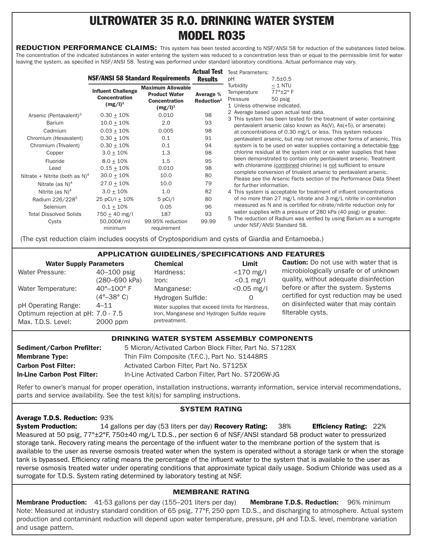# ULTROWATER 35 R.O. DRINKING WATER SYSTEM MODEL RO35

REDUCTION PERFORMANCE CLAIMS: This system has been tested according to NSF/ANSI 58 for reduction of the substances listed below. The concentration of the indicated substances in water entering the system was reduced to a concentration less than or equal to the permissible limit for water leaving the system, as specified in NSF/ANSI 58. Testing was performed under standard laboratory conditions. Actual performance may vary.

|                                            | <b>NSF/ANSI 58 Standard Requirements</b> |                                                                                        | <b>Actual Test</b>                  | <b>Test Parameters:</b>                                                                                                                                                                              |                                                                                                                                        |  |
|--------------------------------------------|------------------------------------------|----------------------------------------------------------------------------------------|-------------------------------------|------------------------------------------------------------------------------------------------------------------------------------------------------------------------------------------------------|----------------------------------------------------------------------------------------------------------------------------------------|--|
|                                            |                                          |                                                                                        | <b>Results</b>                      | pH                                                                                                                                                                                                   | $7.5 \pm 0.5$                                                                                                                          |  |
|                                            |                                          | <b>Maximum Allowable</b><br><b>Product Water</b><br><b>Concentration</b><br>$(mg/l)^1$ | Average %<br>Reduction <sup>2</sup> | Turbidity                                                                                                                                                                                            | $<$ 1 NTU                                                                                                                              |  |
|                                            | <b>Influent Challenge</b>                |                                                                                        |                                     | Temperature                                                                                                                                                                                          | $77^\circ \pm 2^\circ$ F                                                                                                               |  |
|                                            | <b>Concentration</b>                     |                                                                                        |                                     | Pressure                                                                                                                                                                                             | 50 psig                                                                                                                                |  |
|                                            | $(mg/l)^1$                               |                                                                                        |                                     |                                                                                                                                                                                                      | 1 Unless otherwise indicated.                                                                                                          |  |
| Arsenic (Pentavalent) <sup>3</sup>         | $0.30 + 10%$                             | 0.010                                                                                  | 98                                  | 2 Average based upon actual test data.                                                                                                                                                               |                                                                                                                                        |  |
| <b>Barium</b>                              | $10.0 \pm 10\%$                          | 2.0                                                                                    | 93                                  | 3 This system has been tested for the treatment of water containing<br>pentavalent arsenic (also known as As(V), As(+5), or arsenate)<br>at concentrations of 0.30 mg/L or less. This system reduces |                                                                                                                                        |  |
| Cadmium                                    | $0.03 + 10%$                             | 0.005                                                                                  | 98                                  |                                                                                                                                                                                                      |                                                                                                                                        |  |
| Chromium (Hexavalent)                      | $0.30 + 10%$                             | 0.1                                                                                    | 91                                  |                                                                                                                                                                                                      | pentavalent arsenic, but may not remove other forms of arsenic. This                                                                   |  |
| Chromium (Trivalent)                       | $0.30 + 10%$                             | 0.1                                                                                    | 94                                  |                                                                                                                                                                                                      | system is to be used on water supplies containing a detectable free                                                                    |  |
| Copper                                     | $3.0 + 10%$                              | 1.3                                                                                    | 98                                  |                                                                                                                                                                                                      | chlorine residual at the system inlet or on water supplies that have                                                                   |  |
| Fluoride                                   | $8.0 + 10%$                              | 1.5                                                                                    | 95                                  |                                                                                                                                                                                                      | been demonstrated to contain only pentavalent arsenic. Treatment                                                                       |  |
| Lead                                       | $0.15 + 10%$                             | 0.010                                                                                  | 98                                  |                                                                                                                                                                                                      | with chloramine (combined chlorine) is not sufficient to ensure                                                                        |  |
| Nitrate + Nitrite (both as N) <sup>4</sup> | $30.0 \pm 10\%$                          | 10.0                                                                                   | 80                                  |                                                                                                                                                                                                      | complete conversion of trivalent arsenic to pentavalent arsenic.<br>Please see the Arsenic Facts section of the Performance Data Sheet |  |
| Nitrate (as $N$ ) <sup>4</sup>             | $27.0 \pm 10\%$                          | 10.0                                                                                   | 79                                  | for further information.                                                                                                                                                                             |                                                                                                                                        |  |
| Nitrite (as $N$ ) <sup>4</sup>             | $3.0 + 10%$                              | 1.0                                                                                    | 82                                  |                                                                                                                                                                                                      | 4 This system is acceptable for treatment of influent concentrations                                                                   |  |
| Radium 226/228 <sup>5</sup>                | 25 pCi/l $\pm$ 10%                       | $5$ pCi/l                                                                              | 80                                  |                                                                                                                                                                                                      | of no more than 27 mg/L nitrate and 3 mg/L nitrite in combination                                                                      |  |
| Selenium                                   | $0.1 + 10\%$                             | 0.05                                                                                   | 96                                  |                                                                                                                                                                                                      | measured as N and is certified for nitrate/nitrite reduction only for                                                                  |  |
| <b>Total Dissolved Solids</b>              | $750 + 40$ mg/l                          | 187                                                                                    | 93                                  |                                                                                                                                                                                                      | water supplies with a pressure of 280 kPa (40 psig) or greater.                                                                        |  |
| Cysts                                      | 50,000#/ml<br>minimum                    | 99.95% reduction<br>requirement                                                        | 99.99                               | 5 The reduction of Radium was verified by using Barium as a surrogate<br>under NSF/ANSI Standard 58.                                                                                                 |                                                                                                                                        |  |

(The cyst reduction claim includes oocysts of Cryptosporidium and cysts of Giardia and Entamoeba.)

APPlIcATIoN GuIDElINES/SPEcIfIcATIoNS AND fEATuRES

| <b>Water Supply Parameters</b>                                                  |                                                                    | <b>Chemical</b>                                                                                                  | Limit                        | <b>Caution:</b> Do not use with water that is                                    |
|---------------------------------------------------------------------------------|--------------------------------------------------------------------|------------------------------------------------------------------------------------------------------------------|------------------------------|----------------------------------------------------------------------------------|
| Water Pressure:                                                                 | $40 - 100$ psig<br>(280–690 kPa)                                   | Hardness:<br>Iron:                                                                                               | $<$ 170 mg/l<br>$< 0.1$ mg/l | microbiologically unsafe or of unknown<br>quality, without adequate disinfection |
| Water Temperature:                                                              | $40^{\circ} - 100^{\circ}$ F<br>$(4^{\circ}-38^{\circ} \text{ C})$ | Manganese:<br>Hydrogen Sulfide:                                                                                  | $< 0.05$ mg/l                | before or after the system. Systems<br>certified for cyst reduction may be used  |
| pH Operating Range:<br>Optimum rejection at pH: 7.0 - 7.5<br>Max. T.D.S. Level: | $4 - 11$<br>2000 ppm                                               | Water supplies that exceed limits for Hardness,<br>Iron, Manganese and Hydrogen Sulfide require<br>pretreatment. |                              | on disinfected water that may contain<br>filterable cysts.                       |

### DRINKING WATER SYSTEM ASSEMBLY COMPONENTS

| <b>Sediment/Carbon Prefilter:</b>  | 5 Micron/Activated Carbon Block Filter, Part No. S7128X |
|------------------------------------|---------------------------------------------------------|
| <b>Membrane Type:</b>              | Thin Film Composite (T.F.C.), Part No. S1448RS          |
| <b>Carbon Post Filter:</b>         | Activated Carbon Filter, Part No. S7125X                |
| <b>In-Line Carbon Post Filter:</b> | In-Line Activated Carbon Filter, Part No. S7206W-JG     |
|                                    |                                                         |

Average T.D.S. Reduction: 93%

Refer to owner's manual for proper operation, installation instructions, warranty information, service interval recommendations, parts and service availability. See the test kit(s) for sampling instructions.

### SYSTEM RATING

System Production: 14 gallons per day (53 liters per day) Recovery Rating: 38% Efficiency Rating: 22% Measured at 50 psig, 77°±2°F, 750±40 mg/L T.D.S., per section 6 of NSF/ANSI standard 58 product water to pressurized storage tank. Recovery rating means the percentage of the influent water to the membrane portion of the system that is available to the user as reverse osmosis treated water when the system is operated without a storage tank or when the storage tank is bypassed. Efficiency rating means the percentage of the influent water to the system that is available to the user as reverse osmosis treated water under operating conditions that approximate typical daily usage. Sodium Chloride was used as a surrogate for T.D.S. System rating determined by laboratory testing at NSF.

### MEMBRANE RATING

Membrane Production: 41-53 gallons per day (155-201 liters per day) Membrane T.D.S. Reduction: 96% minimum Note: Measured at industry standard condition of 65 psig, 77°F, 250 ppm T.D.S., and discharging to atmosphere. Actual system production and contaminant reduction will depend upon water temperature, pressure, pH and T.D.S. level, membrane variation and usage pattern.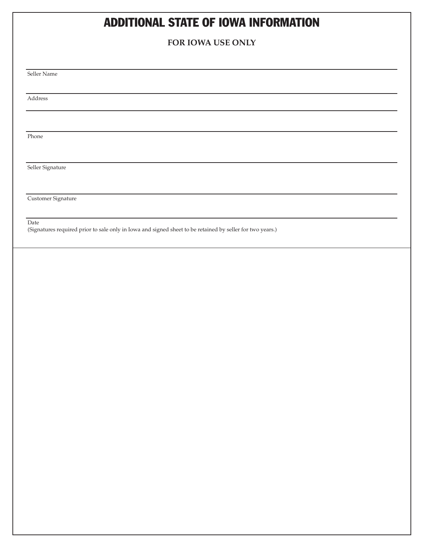## ADDITIONAL STATE OF IOWA INFORMATION

### **FOR IOWA USE ONLY**

Seller Name

Address

Phone

Seller Signature

Customer Signature

Date

(Signatures required prior to sale only in Iowa and signed sheet to be retained by seller for two years.)